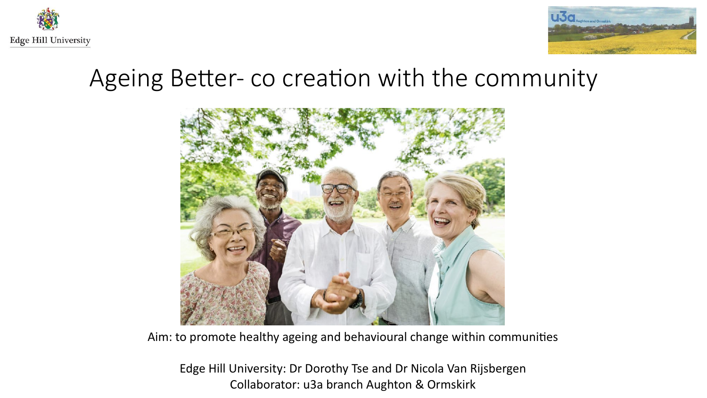



## Ageing Better- co creation with the community



Aim: to promote healthy ageing and behavioural change within communities

Edge Hill University: Dr Dorothy Tse and Dr Nicola Van Rijsbergen Collaborator: u3a branch Aughton & Ormskirk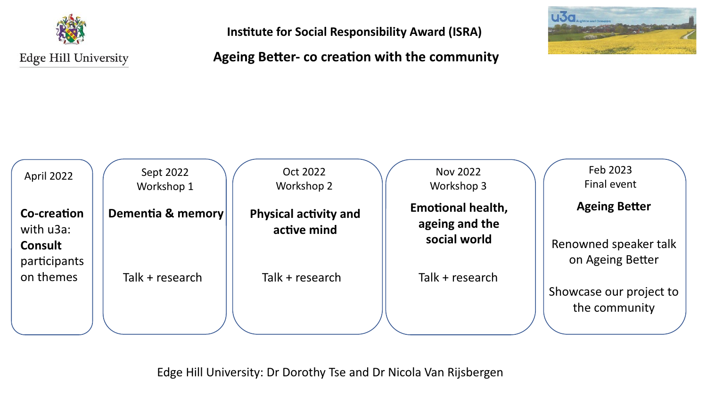

**Institute for Social Responsibility Award (ISRA)**

## **Ageing Better- co creation with the community**



| April 2022                                 | Sept 2022<br>Workshop 1 | Oct 2022<br>Workshop 2                      | Nov 2022<br>Workshop 3                                     | Feb 2023<br>Final event                                           |
|--------------------------------------------|-------------------------|---------------------------------------------|------------------------------------------------------------|-------------------------------------------------------------------|
| Co-creation<br>with u3a:<br><b>Consult</b> | Dementia & memory       | <b>Physical activity and</b><br>active mind | <b>Emotional health,</b><br>ageing and the<br>social world | <b>Ageing Better</b><br>Renowned speaker talk<br>on Ageing Better |
| participants<br>on themes                  | Talk + research         | Talk + research                             | Talk + research                                            | Showcase our project to<br>the community                          |

Edge Hill University: Dr Dorothy Tse and Dr Nicola Van Rijsbergen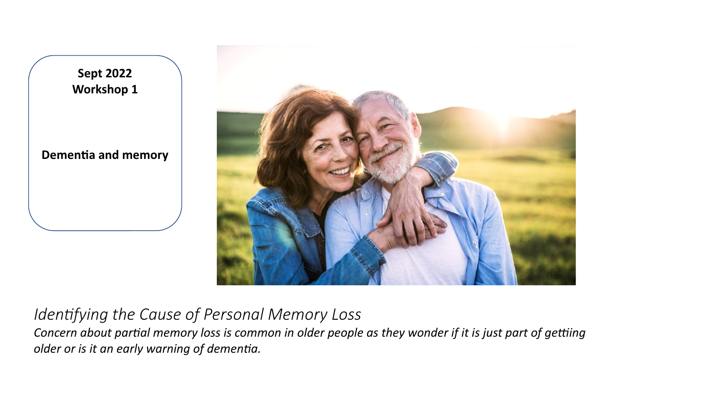

## *Identifying the Cause of Personal Memory Loss*

*Concern about partial memory loss is common in older people as they wonder if it is just part of getting older or is it an early warning of dementia.*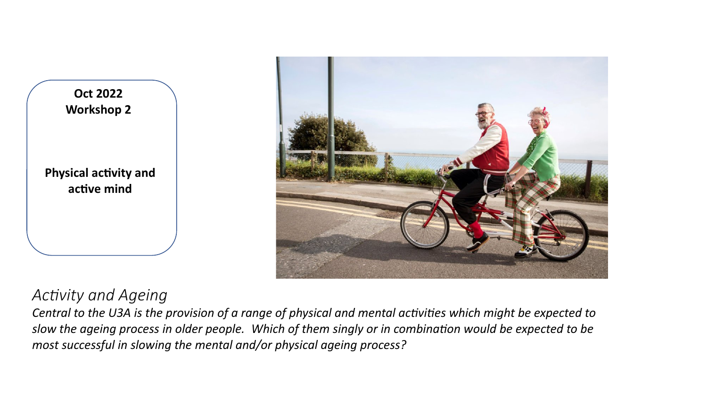



## *Activity and Ageing*

*Central to the U3A is the provision of a range of physical and mental activities which might be expected to slow the ageing process in older people. Which of them singly or in combination would be expected to be most successful in slowing the mental and/or physical ageing process?*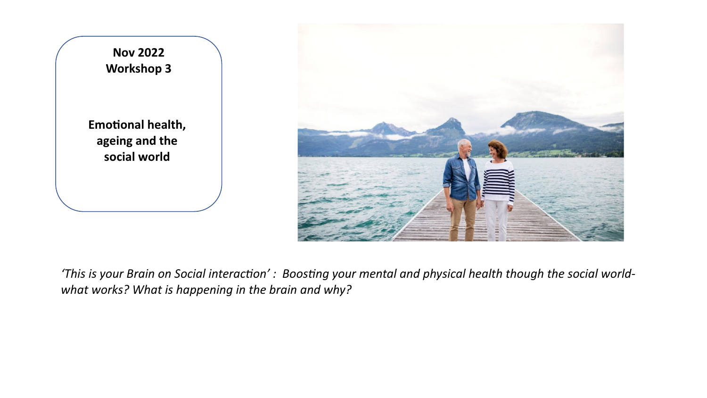

*'This is your Brain on Social interaction' : Boosting your mental and physical health though the social worldwhat works? What is happening in the brain and why?*